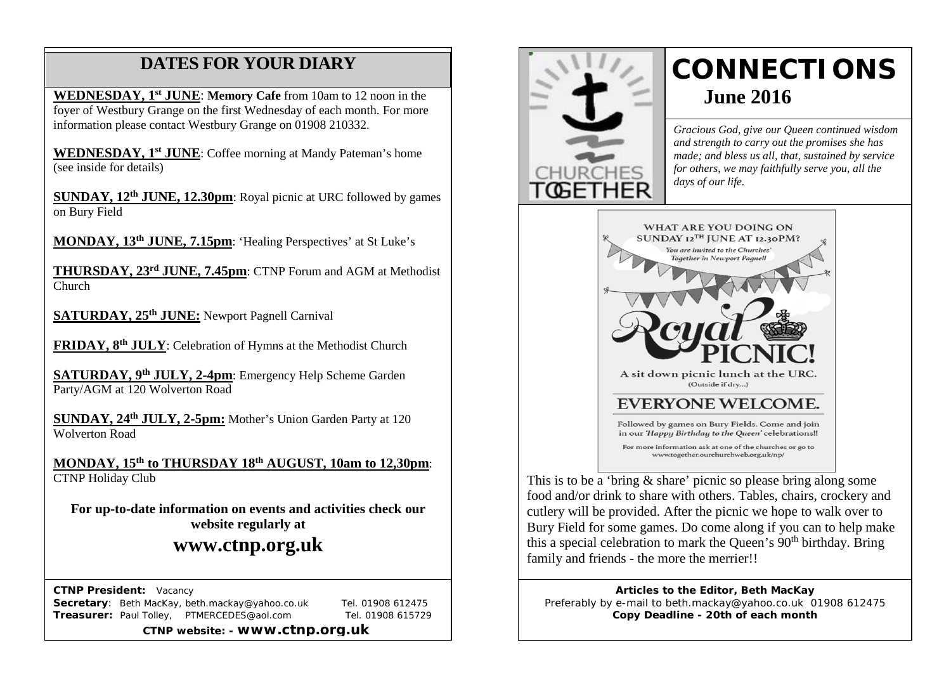# **DATES FOR YOUR DIARY**

**WEDNESDAY, 1st JUNE**: **Memory Cafe** from 10am to 12 noon in the foyer of Westbury Grange on the first Wednesday of each month. For more information please contact Westbury Grange on 01908 210332.

 **WEDNESDAY, 1st JUNE**: Coffee morning at Mandy Pateman's home (see inside for details)

**SUNDAY, 12th JUNE, 12.30pm**: Royal picnic at URC followed by games on Bury Field

**MONDAY, 13th JUNE, 7.15pm**: 'Healing Perspectives' at St Luke's

**THURSDAY, 23rd JUNE, 7.45pm**: CTNP Forum and AGM at Methodist Church

**SATURDAY, 25th JUNE:** Newport Pagnell Carnival

**FRIDAY, 8th JULY**: Celebration of Hymns at the Methodist Church

**SATURDAY, 9th JULY, 2-4pm**: Emergency Help Scheme Garden Party/AGM at 120 Wolverton Road

**SUNDAY, 24th JULY, 2-5pm:** Mother's Union Garden Party at 120 Wolverton Road

**MONDAY, 15th to THURSDAY 18th AUGUST, 10am to 12,30pm**: CTNP Holiday Club

**For up-to-date information on events and activities check our website regularly at**

## **www.ctnp.org.uk**

 **CTNP President:** Vacancy

**Secretary:** Beth MacKay, beth.mackay@yahoo.co.uk Tel. 01908 612475 **Treasurer:** Paul Tolley, PTMERCEDES@aol.com Tel. 01908 615729

**CTNP website: - www.ctnp.org.uk**



# **CONNECTIONS June 2016**

*Gracious God, give our Queen continued wisdom and strength to carry out the promises she has made; and bless us all, that, sustained by service for others, we may faithfully serve you, all the days of our life.*



This is to be a 'bring & share' picnic so please bring along some food and/or drink to share with others. Tables, chairs, crockery and cutlery will be provided. After the picnic we hope to walk over to Bury Field for some games. Do come along if you can to help make this a special celebration to mark the Queen's  $90<sup>th</sup>$  birthday. Bring family and friends - the more the merrier!!

**Articles to the Editor, Beth MacKay** Preferably by e-mail to beth.mackay@yahoo.co.uk 01908 612475 **Copy Deadline - 20th of each month**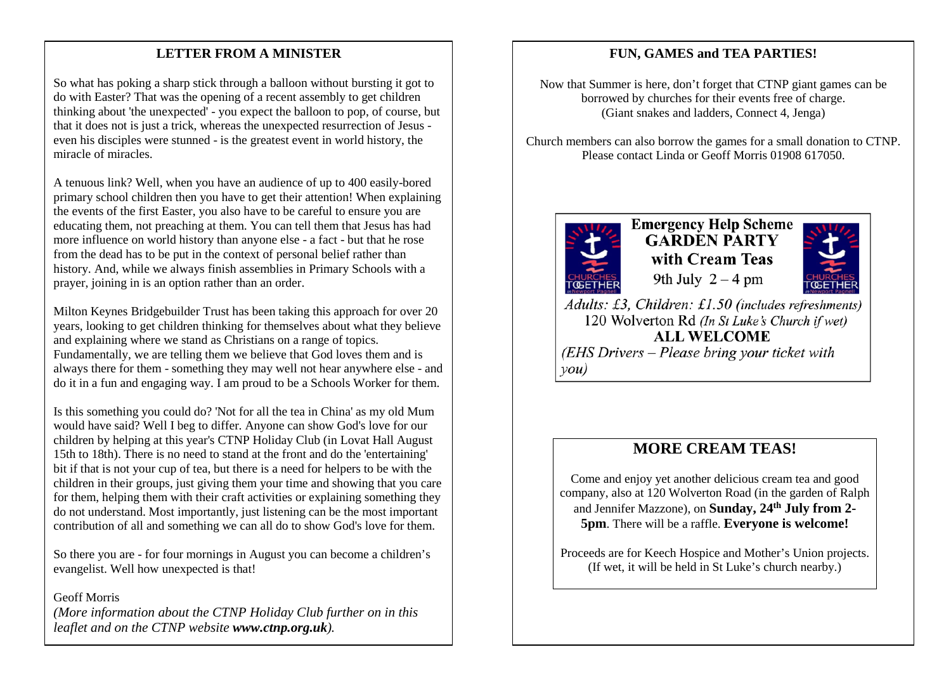## mee **LETTER FROM A MINISTER**

So what has poking a sharp stick through a balloon without bursting it got to do with Easter? That was the opening of a recent assembly to get children thinking about 'the unexpected' - you expect the balloon to pop, of course, but that it does not is just a trick, whereas the unexpected resurrection of Jesus even his disciples were stunned - is the greatest event in world history, the miracle of miracles.

A tenuous link? Well, when you have an audience of up to 400 easily-bored primary school children then you have to get their attention! When explaining the events of the first Easter, you also have to be careful to ensure you are educating them, not preaching at them. You can tell them that Jesus has had more influence on world history than anyone else - a fact - but that he rose from the dead has to be put in the context of personal belief rather than history. And, while we always finish assemblies in Primary Schools with a prayer, joining in is an option rather than an order.

Milton Keynes Bridgebuilder Trust has been taking this approach for over 20 years, looking to get children thinking for themselves about what they believe and explaining where we stand as Christians on a range of topics. Fundamentally, we are telling them we believe that God loves them and is always there for them - something they may well not hear anywhere else - and do it in a fun and engaging way. I am proud to be a Schools Worker for them.

Is this something you could do? 'Not for all the tea in China' as my old Mum would have said? Well I beg to differ. Anyone can show God's love for our children by helping at this year's CTNP Holiday Club (in Lovat Hall August 15th to 18th). There is no need to stand at the front and do the 'entertaining' bit if that is not your cup of tea, but there is a need for helpers to be with the children in their groups, just giving them your time and showing that you care for them, helping them with their craft activities or explaining something they do not understand. Most importantly, just listening can be the most important contribution of all and something we can all do to show God's love for them.

So there you are - for four mornings in August you can become a children's evangelist. Well how unexpected is that!

### Geoff Morris

*(More information about the CTNP Holiday Club further on in this leaflet and on the CTNP website www.ctnp.org.uk).*

## **FUN, GAMES and TEA PARTIES!**

Now that Summer is here, don't forget that CTNP giant games can be borrowed by churches for their events free of charge. (Giant snakes and ladders, Connect 4, Jenga)

Church members can also borrow the games for a small donation to CTNP. Please contact Linda or Geoff Morris 01908 617050.



**Emergency Help Scheme GARDEN PARTY** with Cream Teas 9th July  $2 - 4$  pm



Adults: £3, Children: £1.50 (includes refreshments) 120 Wolverton Rd (In St Luke's Church if wet) **ALL WELCOME** (EHS Drivers – Please bring your ticket with  $\mathit{vou})$ 

## **MORE CREAM TEAS!**

Come and enjoy yet another delicious cream tea and good company, also at 120 Wolverton Road (in the garden of Ralph and Jennifer Mazzone), on **Sunday, 24th July from 2- 5pm**. There will be a raffle. **Everyone is welcome!**

Proceeds are for Keech Hospice and Mother's Union projects. (If wet, it will be held in St Luke's church nearby.)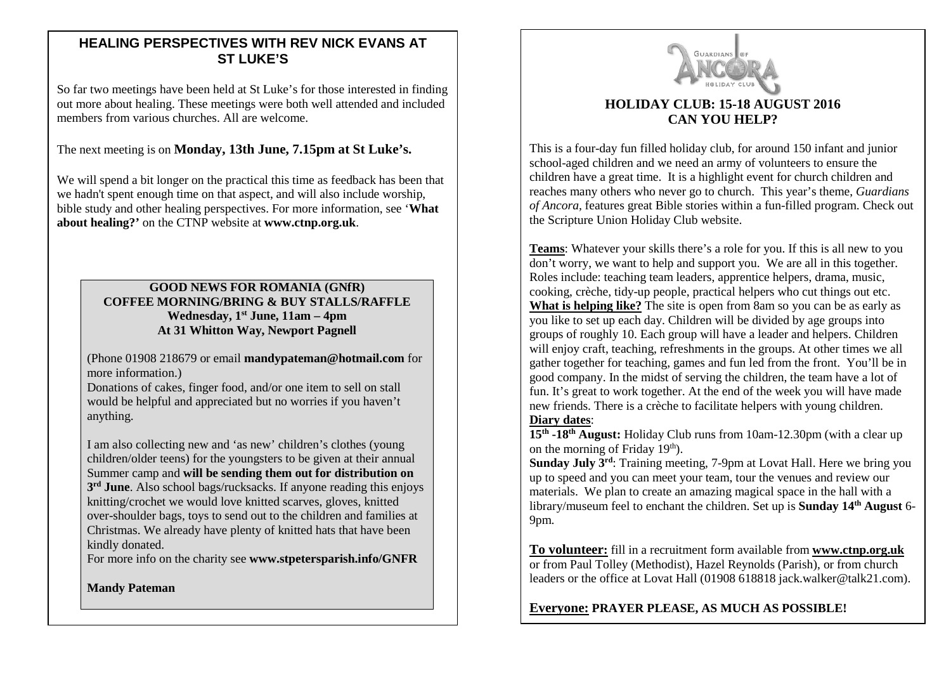## **HEALING PERSPECTIVES WITH REV NICK EVANS AT ST LUKE'S**

So far two meetings have been held at St Luke's for those interested in finding out more about healing. These meetings were both well attended and included members from various churches. All are welcome.

#### The next meeting is on **Monday, 13th June, 7.15pm at St Luke's.**

We will spend a bit longer on the practical this time as feedback has been that we hadn't spent enough time on that aspect, and will also include worship. bible study and other healing perspectives. For more information, see '**What about healing?'** on the CTNP website at **www.ctnp.org.uk**.

#### **GOOD NEWS FOR ROMANIA (GNfR) COFFEE MORNING/BRING & BUY STALLS/RAFFLE Wednesday, 1st June, 11am – 4pm At 31 Whitton Way, Newport Pagnell**

(Phone 01908 218679 or email **mandypateman@hotmail.com** for more information.)

Donations of cakes, finger food, and/or one item to sell on stall would be helpful and appreciated but no worries if you haven't anything.

I am also collecting new and 'as new' children's clothes (young children/older teens) for the youngsters to be given at their annual Summer camp and **will be sending them out for distribution on 3rd June**. Also school bags/rucksacks. If anyone reading this enjoys knitting/crochet we would love knitted scarves, gloves, knitted over-shoulder bags, toys to send out to the children and families at Christmas. We already have plenty of knitted hats that have been kindly donated.

For more info on the charity see **www.stpetersparish.info/GNFR**

**Mandy Pateman**



## **HOLIDAY CLUB: 15-18 AUGUST 2016 CAN YOU HELP?**

This is a four-day fun filled holiday club, for around 150 infant and junior school-aged children and we need an army of volunteers to ensure the children have a great time. It is a highlight event for church children and reaches many others who never go to church. This year's theme, *Guardians of Ancora,* features great Bible stories within a fun-filled program. Check out the Scripture Union Holiday Club website.

**Teams**: Whatever your skills there's a role for you. If this is all new to you don't worry, we want to help and support you. We are all in this together. Roles include: teaching team leaders, apprentice helpers, drama, music, cooking, crèche, tidy-up people, practical helpers who cut things out etc. **What is helping like?** The site is open from 8am so you can be as early as you like to set up each day. Children will be divided by age groups into groups of roughly 10. Each group will have a leader and helpers. Children will enjoy craft, teaching, refreshments in the groups. At other times we all gather together for teaching, games and fun led from the front. You'll be in good company. In the midst of serving the children, the team have a lot of fun. It's great to work together. At the end of the week you will have made new friends. There is a crèche to facilitate helpers with young children. **Diary dates**:

**15th -18th August:** Holiday Club runs from 10am-12.30pm (with a clear up on the morning of Friday  $19<sup>th</sup>$ ).

**Sunday July 3<sup>rd</sup>:** Training meeting, 7-9pm at Lovat Hall. Here we bring you up to speed and you can meet your team, tour the venues and review our materials. We plan to create an amazing magical space in the hall with a library/museum feel to enchant the children. Set up is **Sunday 14<sup>th</sup> August** 6-9pm.

**To volunteer:** fill in a recruitment form available from **[www.ctnp.org.uk](http://www.ctnp.org.uk/)** or from Paul Tolley (Methodist), Hazel Reynolds (Parish), or from church leaders or the office at Lovat Hall (01908 618818 jack.walker@talk21.com).

**Everyone: PRAYER PLEASE, AS MUCH AS POSSIBLE!**

 $\overline{a}$